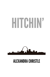# HITCHIN'



## ALEXANDRA CHRISTLE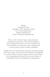Hitchin' Alexandra Christle Copyright © 2018, Alexandra Christle Cover Art by Danielle Fine Editing by Danielle Fine Interior formatting by Danielle Fine

This is a work of fiction. Names, characters, places, and incidents are products of the author's imagination or are used fictitiously and are not to be construed as real. Any resemblance to actual events, locales, organizations, or persons, living or dead, is entirely coincidental.

All rights reserved. Aside from brief quotations for media coverage and reviews, no part of this book may be reproduced or distributed in any form without the author's express written consent. Thank you for supporting authors and a diverse, creative culture by purchasing this book and complying with copyright laws.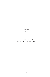For Bill A gifted photographer and friend.

In memory of William Frank Cavanaugh October 29, 1954 – July 4, 1981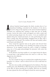## 1

#### *East St. Louis, December 1975*

nthony Scarlotti leaned against the thick, wooden door of an abandoned building, concealed in the shadows of the alcove.<br>He took a drag on his cigarette as the street's hushed emptiness stretched out, seducing him, seeking nthony Scarlotti leaned against the thick, wooden door of an abandoned building, concealed in the shadows of the alcove. He took a drag on his cigarette as the street's hushed emptiness vacuum. Across the road, a trash can tipped over with a crash, and he jerked, pressing deeper into the recess. A tin can tumbled and clinked along the cracked pavement, its echo perforating the quiet. Then a mangy dog, ribs protruding, straggled from an alley with a rotting bone in its mouth. The creature saw him and snarled, yellow teeth bared, and slinked off.

Tony tossed his cigarette butt in the gutter and shoved from the doorway. He had things to do. Nothing was going on here this afternoon. As he stepped toward the curb, a couple of buildings away, two of his gang acknowledged his presence with nods, but didn't approach.

In the distance, the deep rumble of a car engine broke the silence. A second later, a girl sprinted down the street at a full run. Tony slipped into the shadows.

#### *What the hell?*

No *chica* outside his ring ever wandered this neighborhood unless homeless or a whore—and no whore he'd ever seen could haul ass like that.

She dove into an alley and disappeared in the darkness. The deep rumble grew, and a Rolls Royce idled along the street before pausing at the alley, its driver peering into its depths. With the car running, the man opened the door and limped toward the narrow passage.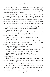#### Alexandra Christle

Tony pushed from the recess and let out a low whistle. Five others joined him, and they retreated around a corner. They didn't need to get sucked into a murder rap, or maybe worse, messing with some john rounding up a runaway.

After several seconds, the man exited the alley, crawled back into his car, and it rolled off, creeping down the block toward the river. Tony waited, the possibilities toying with his mind. That alley had no exit, but no sounds reached him to make him think the guy had wasted the babe. He held up his hand to keep his gang quiet. Then the girl stuck her head around the corner, hesitated, emerged and scanned the surroundings.

Tight jeans, no coat, no apparent personal belongings. She was either in trouble, or just trouble, period. A flick of his wrist, and his group advanced into the street.

Their movement caught her eye, and she froze. Focus forward, she ignored them, straightened her posture, held her head high, and started toward the river.

The boys taunted her. "Hey, *chica*! What you doin' out here?" Her pace picked up.

He arched an eyebrow and crossed his arms. She acted like she belonged on this street and had every right to be here. If women could have *cajones*, this girl would have an enviable set.

"Hey, white momma! We talkin' to you!"

She kept going. What was this girl doing in this neighborhood? He snapped his fingers, and in a blink, his gang surrounded her.

"We asked what you doin' here, bitch," one of them said.

Her posture stiffened. "I'm going to the river."

"Why you wanna do that? Dontcha like it here?" The comment brought sniggers.

"My boyfriend is down there. We had a fight, and I took a walk. I'm going back. If I don't show up in a few minutes, he's going to come looking for me."

No sniggers this time—only outright laughter.

"Shut up." Tony took charge—they'd had their fun. He moved to the front of the group and let his gaze drift over her. Tangled dark red hair, torn shirt, a thin film of dirt coated her skin and clothes. Damned street urchin. If this girl was legal age, it couldn't be by more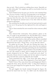than an inch. "Don't nobody go walking these streets. 'Specially not no little white girls." He stepped up until he stood inches from her. "You hookin'?"

Terror flashed across her gray eyes, but her voice remained firm. "No. I'm not a hooker. I told you, I'm going back to my boyfriend."

He had to give her credit. The little babe had some grit. "You a long way from the river, *chica*. You two musta had some hellacious fight." He fingered the tattered seam of her shirt while the others grunted in agreement.

She wrenched her shoulder away from his hand and tried to push her way out of the group, but they tightened the circle and began to close in.

One of them stretched his arm toward her when someone yelled, "Cops!"

"Split!"

They skittered like cockroaches. Tony pitched a glance at the *chica*. As tough as she pretended to be, this kid didn't have a chance out here. He yanked her arm and dragged her along with him.

A squad car screeched to a halt, and two police officers scrambled out as he and his captive rounded the corner. The men's voices filtered down the street. "I'll get Tony—you go after the others!"

He picked up his pace. The girl was slowing him down. He dashed into an alley and jerked open a door, threw her into darkness and crowded in after her, slamming and bolting the door behind him.

He pressed her against a wall, his hands on her shoulders, leaning into her. She started to speak, and he clamped his hand over her mouth, whispered in her ear. "Make a sound and you're dead." At this point, threats, however empty, were his best option to keep her quiet. Seconds later, someone rattled the door handle.

Voices penetrated the walls. "I lost those kids again, damn it. They're slippery as wet slate. What happened to Tony and the girl?"

"Hell if I know. They came down here and disappeared. Must've jumped the fence. Jesus, that kid is slick." A deep thud vibrated as one of the men banged his fist against the door. "Screw it. Let's get out of here."

The girl wiggled, her breath strained through his fingers. He moved his hand from her face—he didn't want the damned kid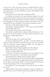to pass out on him. Her chest heaved in rapid breaths, her heart pounding against his ribs. He kept his face close to hers, inhaling the herbal scents in her hair. He'd been wrong—this kid didn't come from the streets.

*Don't go there. This hot little* chica *is nothing but jailbait.*

He shifted his position but stayed pressed against her until both their heartbeats slowed, and the musty, stagnant air started to suffocate him. He opened the door and shoved her out. She stumbled and fell against the wall, caught her balance, and spun to flee. He snatched her by the waistband of her jeans and yanked her back.

"Let me go." She pulled against his grip.

This girl was testing his patience. "I let you go, you gonna split?" Her shoulders fell. "No."

*Like hell.* Nevertheless, he loosened his grip.

She whirled around, hands on hips, and stared him down. "Are you Tony?" In the dim light of the alley, shadows spilled over her, giving her a waif-like appearance.

"Yeah."

"Why did you grab me? I needed their help."

He gave her a thorough once—or twice—over. Her attitude, her speech—maybe he'd been wrong about her age. "You seen yourself, *chica*? You look like a damn strung-out addict. The only help you gonna get from the cops is a rap sheet."

She deflated. Some. Damned spitfire, this little redhead.

"What you doin' here, anyway? This ain't your 'hood."

"I told you. I had a fight with—"

"Yeah, yeah. The *hombre* who dumped you in the middle of East St. Louis." He watched her. "That the guy with the Rolls?"

She blanched and swallowed then curled her lips in.

Hit on something there. He took her by the elbow and propelled her forward. "Let's go." She struggled against him, but he led her out of the alley and around the block to a beat-up Impala that boasted more rust than paint. "Get in." He opened the door.

She held back. "I'm not getting in a car with you. Do you think I'm crazy?"

Anger welled in him, and he muttered a string of expletives in Spanish. Sexy or not, this little hothead had pushed his last button.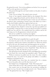He gritted his teeth. "Get in the goddamn car before I tie you up and stuff an oily rag down your throat."

She peered through the car's back window at the piles of junk in the back seat.

"Yeah. I'm not joking." He waited, arms crossed.

Some of her superior attitude faded as she slumped. Her chest rose with a ragged deep breath, and she slid into the front seat.

He closed the door and kept his gaze on the car as he skirted to the driver's side, continuing to mutter curses. She didn't try to bolt maybe she'd finally realized her options had run out.

He started the fifteen-year-old Chevy and crept into the quiet street, taking his time. Stupid to outrun the cops then get pulled over for speeding. Using his knee to steer, he dug for his pack of smokes, pulled one out, and lit it. He cranked down the window and let his arm hang out, for all appearances relaxed and calm.

His nerves couldn't be wound up any tighter.

She hunched her shoulders and wrapped her arms around herself, shivering.

*Aw, hell.* What had compelled him to grab this girl?

*You know the answer to that. She needed someone to help her.* He tossed his cigarette, rolled up the window, and pulled over. When he started to turn in his seat, she shrank away, pressing against the car door.

Teeth clenched, he leaned over the seat, pulled a sweatshirt from a pile of clothes, and thrust it at her. Stupid kid. "Here. Put this on. It's freezing out. Why the hell ain't you got no coat?"

She opened her mouth, clamped it shut, and slipped the sweatshirt over her head. Her voice meek, she squeaked a quiet "Thank you."

Without comment, he pulled onto the street. No other vehicles cruised the area—too early for the pimps and addicts. A soundless emptiness enveloped the car.

Still huddled away from him, she watched him for a minute. "Why are the police after you? Do they know you?"

He choked out a strangled laugh. "Yeah. They know me."

"How? What did you do?" She cocked her head. "Kill someone?"

Her caustic tone cut through him, the accusation curdling his blood. *Let it go. You don't have to justify yourself to her.* "Haven't had to yet." He glanced her way. "But I might now."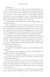She shut up.

He pulled into the lot of a dingy motel and parked in front of a room. A weathered fake brass *5* hung on the door, barely attached with a loose screw. The window, black from the dark drapes behind it, had a thin haze of greasy film coating it. No other 'guests' wandered around the lot, no one checking in or out. Tiny prickles stung his neck, and he jerked his shoulders to shake it off then walked around the car and opened the passenger door. "Come on."

A deep grimace contorted her face, and she didn't budge. "No. I'm not a prostitute."

The comment put him over the edge, and the muscles in his shoulders pinched into a tight knot. He raked his teeth across his bottom lip. "Babe, I don't know what the hell you are and I don't give a shit. But you're comin' with me 'til I figure out what to do with you." He dragged her from the car, pulled her inside, and flung her across the room. Then he slammed the door and threw the lock.

Grumbling, he grabbed the cigarettes stuffed in his pocket and whacked the pack hard against his palm several times. He leaned on the edge of the dresser and lit one as she dropped onto the side of the bed. "Wanna smoke?" he asked between drags, reaching over to snap on a table lamp. The bulb crackled and buzzed then cast a gloomy haze over the room.

"No, thanks. I don't smoke."

He peered at her through the smoky fog. "You drink Pepsi, little white girl?"

She shrugged without making eye contact, instead picking at a cigarette burn in the frayed bedspread.

He reached into a small cooler, pulled out an icy soda, and tossed it on the bed. After looking at it for a few seconds, she picked up the can and held it in her lap.

The room's heat closed in on him. Hot air billowed from the rusted floor unit under the window, so he set his cigarette on the edge of the battered dresser and stepped over to adjust it. When he turned around, she'd slipped out of his sweatshirt and was examining a gash on her arm.

He took a second to check her out. Besides the tear in her shirt, filth covered her, like she'd fallen in a pile of dirt. Tendrils of dark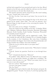red hair had escaped her loose ponytail and stuck to her face. Blood clotted on her left arm, and she rolled the cold can over the wound. He moved closer to the bed. She shrank away.

His muscles quivered, and he tensed his jaw. She wasn't making this easy. "Lemme take a look at that."

"It's fine. I'm fine. I just want to go home. Can you just let me go, please?"

He grunted and spun then propped his hip on the dresser and picked up his smoke. Naïve babe. "You ain't my prisoner, *chica*." Between drags, he kept his gaze on her, surveying her injuries. "So where you live?"

Her voice came out in a whisper. "Columbia."

Tony ran a hand over the stubble on his chin. "Columbia. Which one? Alabama, California, Illinois, Kentucky, Maryland, Mississippi, Missouri, North Carolina, South Carolina, Tennessee, Wisconsin? Or Colombia, South America?"

Her mouth dropped open, and he suppressed a smile. "That don't include the spin-offs like Columbia City or Columbia Heights, or the counties, or the Columbuses. But outta those Columbias, South Carolina's the biggest, 'bout ninety-nine thousand people, and North Carolina's the smallest, 'bout nine hundred."

"What do you do, read the atlas in your spare time?"

"On occasion."

Her brow creased, and she stared at him. "What kind of criminal are you?"

"Unh-uh. Answer my question. Need me to run through those again?"

"No!" A breath shot from her. "Missouri."

He nodded. "Okay. Illinois's closer, but Missouri's just a couple hours. If you said South America, we might have a problem." He twisted to flick his ashes in a cup. "What's your name, *chica*? Or you want me to just call you *puta*?"

"I'm not a whore." She hesitated. "Cassie."

"You got a last name, Cassie?"

"Do you, Tony?"

He dipped his head to hide his smile. She had grit *and* spunk. He dropped his guard. "Touché. You know, if you'd stop sparring with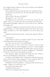#### Alexandra Christle

me, I might be able to help you." He took a last draw on the cigarette and stubbed out the butt.

She cocked her head and narrowed her eyes, squinting at him. *Careful. Don't lose your focus now.* "So what you doin' on my turf?" "I got lost."

"My ass. Who's the guy in the Rolls?"

She paled. "I…uh… No one."

He rolled his eyes. *Just get rid of her. You don't have time for this. Not tonight.* "Okay, so you got a date with some asshole and what? He"— He stopped and pulled a chair over to sit in front of her. "Did that prick rape you?"

At that, her toughness shot from her faster than the air from a popped balloon. An uneven breath caught in her throat, but to her credit, she didn't cry. "No." She swallowed. "No, but he tried. I got away."

Spanish flowed from his mouth. "*Hijo de puta. ¿Quién es?* Who is he?"

"I don't know."

"*¿Que?* What you mean, 'you dunno.' Huh? You got a date with some dude and you don't know his name?"

In a soft voice, she said, "I was hitchhiking."

With her tone so low, it took him a second to process what she'd said. When his mind unclogged, a current of anger rippled through him. She'd been hitchin' but didn't want to get in *his* car? The contradiction pissed him off, and he straightened. "Hitchhikin'. In East St. Louis? You're some kinda crazy bitch."

Her expression tight, she knotted her hands into fists. "That's a hell of a condemnation coming from a...murderer."

"I told you. I ain't killed no one." He paused to stifle his annoyance. *Forget it. Why would she think anything else?* "You a runaway? How the hell old are you, anyway? Sixteen? Why you hitchin'?"

She didn't answer immediately—coming up with another lie, no doubt. "Unlike you, I don't have a car."

"So where'd you hitch from?"

"Columbia. Where else?"

"That's over a hundred miles from here."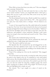"Wow. Did you learn that from your atlas, too?" Her tone dripped with contempt. Mocked him.

He jerked her from the bed and stuck his face so close their noses nearly touched. "Listen, you stupid little bitch. I don't give a damn who you are or why you're here. But you're in my way, and I need to get rid of you."

The blood drained from her face. Death wouldn't have made her more ashen. "Please—please don't kill me. I'll"— She squeezed her eyes shut, her voice barely above a whisper. "I'll do whatever you want."

A scent of fear seeped from her. She really believed he intended to rape her. *Dear God.* An icy knot formed in his chest as he loosened his grip and tipped his head, rolling it across his shoulders. "Siddown." He took her shoulders and set her back on the bed, went into the bathroom, and grabbed a clean washcloth. Wetting it with warm water, he wrung it, then went back and tossed it at her. "Here. Clean up that cut."

She stared at the washcloth laying on her lap.

Heat flushed through his body, and he snatched the cloth and grabbed her arm. A large damp spot stained her jeans.

"Ow." She tried to pull her arm away.

His Spanish flew. He wrenched her up and dragged her to the bathroom sink then splashed warm water over her arm until her drenched clothes clung to her body, molding to her slender frame. In all the places he shouldn't look.

"Stop it! I'm soaking wet. Give me the washcloth." She snagged it from him.

He ran his hand over his mouth, covering his smile, then crossed his arms as she wiped at the cut. It continued to ooze and looked fairly serious. She should probably get it checked by a doctor. He had some contacts, but only as a last resort. He needed to get rid of this *chica*, not take her under his wing like a helpless puppy. He cursed again, causing her to glance at him. *Why tonight?* "So how'd you get that cut? Did Rolls have a knife on you?"

She winced. "No. I got caught on a piece of metal on the Dumpster."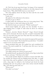#### Alexandra Christle

*Ah. That's how she got away from the guy.* An image of her crammed behind the rat-infested garbage container in the alley danced in his head. Gutsy. "Why didn't Rolls haul you outta there?"

"He came halfway down the alley, but then said the rats could have me and left."

"Lucky rats."

She glared at his reflection in the mirror.

"How'd you get so dirty?"

"I rolled under the warehouse door as it was going down." She twisted the faucet to rinse and wring out the cloth.

He tilted his head, eyes narrowed. "Which warehouse?"

Head turned slightly, she spoke over her shoulder. "I saw a sign hanging from a couple of nails when he drove in—Henson Aeronautics."

"Henson…*Jesucristo*. Dennis Henson?" Anger flowed through him, and he frowned. He knew the kid—it hadn't looked like him. "Are you sure that's who that was? That shit? How the hell'd you get away from that asshole?"

Setting the cloth on the bar, she turned, but ignored his question. "How do you know him?" She looked him up and down. "I wouldn't expect to see you in his social circle."

Smart-mouthed little *puta*. He studied her and considered his answer. The truth wouldn't do. "I sell him coke. He's one a' my best customers."

The blood drained from her face.

"You didn't answer me. How'd you get away?"

She pulled herself up, planted her hands on her hips, looked him in the eye, and spat, "I bit him in the balls."

Tony nearly choked. Maybe he needed to reassess this little *chica*. No wonder the Henson kid was limping down that alley. A cough shot from him, and he grabbed a towel and threw it at her. Then with a deep sigh, he rubbed at his forehead and shook his head. Justifying this one was going to take some serious smooth doubletalk. "Get dried up and come on."

"Where now?"

"I'm takin' you home."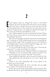## 2

E<br>The verett Jackson Hayes, Jr. charged the corner on his Honda Elsinore. His front tire slid, and his left leg shot out for balance. He hit the berm to slingshot from the corner and down the hill. The bike skimmed close to the outside line, but today there were no spectators lining the fence who might get slapped with debris. He blew across the finish line and skidded to a stop.

Jerry Addison jogged over with a stopwatch in his hand. "Damn, Rett. Two minutes, ten seconds. If you can keep that up, you'll blow away Richards. No prob."

Rett took off his goggles and helmet and shook out his dampened hair. A cold gust of wind rustled through the trees surrounding the track, giving him a chill. "Yeah. That prick took me out in October. It won't happen again." He ran a hand through his shaggy mop. "Let's get this baby loaded up. It's freezing out here."

A voice cut through the quiet of the empty track. "Can't take the cold, pussy?" A young man strolled over to them.

Tension twisted his muscles. "Richards. What're you doing here?"

"Watching you take your little Sunday afternoon joyride. Can't you get that heap to go any faster than that?" He sneered.

Anger bubbled through Rett, and he knotted his hands into fists.

Jerry grabbed his arm and spoke in a low tone. "Ignore him. Let's go."

Rooted to the cold, hard-packed dirt, Everett glared at his adversary for several seconds.

Finally, Richards backed off. "Get a real bike, and you might have a chance." He wandered off the track.

Rett let a low growl escape and grumbled under his breath. They pushed the bike into an open trailer hitched to his black Ford pickup.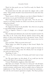"Don't let him psych you out. You'll be ready for March. No prob," Jerry said.

He locked down the bike and raised the tailgate with a solid clunk. "That asshole should've been barred from the track after that crap last fall."

"Don't sweat it. He'll be riding in your dust in March. Besides, I got money on you, pal. You'd better come through."

Rett's laugh echoed across the quiet track. "You do not. The season is over three months out. Don't even tell me your bookie is taking bets already."

"I don't have a bookie."

He slapped his friend on the shoulder. "Jer, when are you going to stop taking things so literally?"

"I'm an engineer. Obtuse is a type of triangle, not a thought process."

Rett chortled and climbed in the truck then headed toward I-70. The drive to St. Louis took fifty-six minutes door-to-door. Still plenty of time to get cleaned up and to his parents' house. They'd nearly reached the exit when Rett asked, "Hey, wanna come over for dinner?"

Jerry eyed him. "Did your mom invite me?"

"What makes you think I'm going to their house? Maybe I'm going to cook."

Jerry burst into laughter. When he finally caught his breath, he said between wheezes, "No, man. No offense, but I see enough of you and your dad at work."

"Speaking of work…"

"Oh, no. No. Not a chance. It's Sunday, and I don't want to hear  $it"$ 

"Jer. We gotta figure out this plastic. If we could just tint the damn stuff, think of everything we could make."

"I know. Windshields, sunglasses, blah, blah, blah."

Rett blew out a breath. "You have no vision, Jer." He fell silent. His friend had managed to invent a true scratch-proof plastic. Not scratch-resistant, scratch-*proof*. And he couldn't seem to fathom the implications of that. The guy was his best friend, but sometimes… He took the exit for Jerry's apartment complex. The Hayes product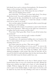had already been used to reinvent thermoplastics. He drummed his fingers on the steering wheel. They needed to tint it.

"Stop thinking about work. Think about the race in March."

"Who says I'm thinking about work?"

Jerry faced him. "I've known you since high school. You always think about work. You need a girlfriend or something."

Rett pursed his lips, downshifted the truck's gear into second, and pulled into the complex's lot. "I tried that already—it didn't work out too well, if you recall."

Jerry cut him a glance but didn't respond as Rett coasted through the parking lot to his building.

"I'm through with women," he muttered. A snort came from his friend, but he ignored it. "Did I tell you the NHL has contracted us to replace their acrylic screens at all the rinks?"

"Four times. That's great, Rett. Truly. I'm sure all the hockey fans are overjoyed."

"Every time we try to tint the stuff, it makes it flexible."

"I know. I was there, remember?"

He pulled up to the apartment building. Jerry was hopeless. His line of vision ended at the top of a test tube. "Okay. See you in the morning. Seven a.m."

Jerry threw open the car door. "Day starts at eight."

"Wow, I can't pull anything over on you, can I?" As soon as the man shut the door, he backed up and headed home. Jerry could annoy the hell out of him. His friend was brilliant. And, Everett admitted grudgingly, a hard worker. But when he had time off, he was *off*. Not that he could really blame him for that. Just because Rett had no life didn't mean his friend couldn't have one.

THE HUGE WREATH on the door of Rett's parents' house loomed before him as soon as he turned into the drive. Behind the living room window, tree lights sent a burst of color through the twilight. Without ringing the bell, he went inside, pausing at the entry to peer at the familiar display. A smile crept over his face, and he made his way down the hall, inhaling as the scent of chocolate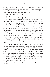chip cookies drifted from the kitchen. He wandered to the back and found his mother dropping final spoonfuls onto a cookie sheet.

"Hi, Mom." He kissed her on the cheek and scooped a glob of dough from the bowl as his father strolled in.

"Thought about getting a haircut recently?"

Rett sighed.

His mother said, "He's fine, Jack."

He scraped the dough from his finger with his teeth and licked the sugar from his lips. "Hundred thirty seconds on the track today."

His father raised his eyebrows. "Not bad." He sat on a stool at the kitchen bar. "So what's bothering you?"

The uncanny ability his father had to read his moods grated on him more than the haircut comments. He shrugged. "It's the VitraPlas, Dad. Jerry and I've been working on it for two weeks and can't figure out how to tint it. It makes it malleable. We can't make windshields that bow in the middle." Their inability to solve the problem ate at him, and he dragged his finger along the inside of the bowl. "Hit a bug and watch the windshield go *boing*," he muttered.

His dad chuckled and put a hand on his shoulder. "Let it rest for a while. Two weeks isn't a long time in this business. It'll come to you."

Rett shook his head. Easier said than done. Nonetheless, he dropped the subject and spent the evening overeating his mother's cooking and talking sports with his father until heading home. Tonight, he didn't stay up to watch TV, but went to his apartment complex's gym. After a short workout, he donned a pair of boxing gloves and smacked the punching bag. Again. And again. Then he switched to the speed bag and gave it a solid pummeling until the rhythmic pounding emptied his mind of all conscious thought. His muscles taut and skin slick from the workout, he jogged to his apartment to shower and cool down.

When he finally went to bed, he felt better, although he still had no answers.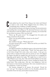## 3

C assie picked up the towel Tony flung at her chest and blotted as much as she could. Water dripped from her clothes, but considering their condition, it hardly mattered.

She checked out the guy as he dug in a tote bag. The inconsistencies surrounding him were piling up. He alternated between street-wise and educated, in both his dialect and his vocabulary, but looked like he was about seventeen. Who was this kid?

"Hurry up. We gotta move." He shrugged into his jacket and stuck a revolver in the pocket.

"Why? Are the police going to knock on the door?"

"They might."

She nodded at his gun. "What's that for?"

He spun around with a scowl. "What the hell do you think? I'm a fuckin' drug dealer."

"I hate guns."

He edged toward her, invading her space to the point that if either of them exhaled, they would touch. "Yeah? You hate guns? How ya feel about drugs? Got some coke, some smack…I can get you some reefer or speed, but there ain't no money in 'em." He slipped his fingers through her tangled hair and focused on it, dragging his fingertips gently against her scalp. "We might have to take it out in trade. Whatever you want, *chica*." His warm breath drifted over her skin.

Heat flowed through her body in waves, stealing her breath. She jerked back. This young man—this *boy*—was dangerous. And not just because of his chosen profession. Her voice sounded hoarse as she whispered, "I don't use drugs."

His manner changed in an instant. He pivoted. "Good for you. Let's go." He slung the duffel over his shoulder, plucked the sweatshirt from the bed, and headed toward the door.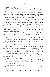But she hung back. "Is it loaded?"

"*Jesucristo*. What the fuck you think? Ain't gonna do me no good empty."

Eyes narrowed, she glared at him. He grabbed her, pulled her across the room, propelled her outside, and locked the door. Then he threw the sweatshirt at her. "Listen, doll, I'm gettin' tired of you. You want me to leave you out here? Fine. Have a ball."

Hours had passed since her escape from…*Rolls*. The sun dipped below the tops of the buildings, casting long shadows across the street, the chill air even more frigid than before. A strip of cheap, rundown stores lined one side of the avenue. At the end of the block, a few cars waited at a Jack-in-the-Box drive-through. Women in spike heels and short skirts, with cheap fake fur wraps draped over their shoulders, loitered at corners. He'd brought her deep into East St. Louis's red-light district.

He threw his tote in the trunk of his car and faced her. "You wanna stay, *chica*? You'd probably pull in enough cash to get a bus ticket."

The comment shook her from her stupor. "No. I'll go with you."

Tony shoved her into the Impala and drove down the block, but before taking the ramp to I-70, he stopped at a pay phone. "Stay here." It wasn't a request.

He dialed the phone, and she leaned over to roll down his window.

"Yeah, man, I split. I don't need no cops breathing down my neck. I'm lyin' low till tonight. Tell Aguiar I'll be there. Midnight. I ain't shittin' around, either. I got the cash. Enough for the whole buy, and I wanna meet him. I'm sick of being jerked around by the hired help." He slapped down the receiver and climbed back into the car.

As he merged onto the interstate, he said, "You shoulda rolled the window back up."

"What are you talking about?"

"If you wanna eavesdrop, you oughta roll the window back up. Unless you want someone to know you're listenin'."

She glared at him.

"First rule. Cover yourself, *chica*."

"I'll keep your advice in mind the next time I'm involved with a pusher."

His mouth twitched in a smile. "Just don't give me any more shit.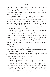I got enough time to haul your ass to Columbia and get back, so just shut up. And put your fucking seatbelt on."

She clicked the belt into place. What compelled her to obey his commands slipped outside her realm of understanding, but she didn't want to cross him.

Enigma didn't come close to explaining this guy. When he'd scooped her from the street, she'd feared the worst—rape, murder, horrors her wildest imagination couldn't conjure. Instead, he'd… rescued her, in a sense, although she still wasn't sure being with the police wouldn't have been a better option. Regardless, he had yet to hurt her, even though his volatile mood swings terrified her. One minute, he seemed concerned about her, and the next, he threw her across the room like a sack of grain.

She stole a glance at him. Although he looked young, his eyes held a knowledge of life that only came with age. *Did that come from living on the streets?* A thin white scar ran from the edge of his eye along his temple, made more prominent by his tanned skin. With his untrimmed dark hair, he had a reckless appeal. The scraggly growth on his face smacked of a kid pretending to be an adult. On the other hand, his muscular chest and arms filled his t-shirt, making him look like anything but a kid. She released a breath and dropped that thought immediately.

Almost.

He took the next exit, and her heartrate accelerated for every mile per hour the car slowed. What now? Some side road where he could rape her? Panic danced along her spine.

He must have sensed her fear, because he glanced toward her. "You know, babe, if I intended to rape you, I woulda done it at the motel." He leered at her. "More comfortable."

She slouched in the seat.

He pulled into a McDonald's drive-through. "You hungry?"

Heart pounding, she croaked, "I'm fine."

He turned to face her. "Sorry, babe." His tone dripped with a false sweetness, and he reached over to brush her cheek. "I wanted to take you to the Robert E. Lee, but I left my tie back at the motel."

His hand lingered on her skin, and a warmth flooded her. She inched away and let out a tentative laugh. The fancy riverboat on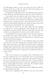the Mississippi would no sooner seat them than they would two monkeys from the zoo. But she relented. She'd had nothing to eat since leaving Columbia this morning.

He ordered two Big Macs, fries, extra ketchup, and a couple of Cokes. When the girl handed him the bag, Tony said, "Thanks, fox."

Cassie didn't miss the smile the girl at the window gave her… chauffeur. The guy was smooth and would be a force to reckon with—if he lived to see his twenties. He pulled into a parking space and passed her a burger and fries, then positioned his food so he could eat while driving. Glancing at his watch, he threw the car into drive, left the lot, and made his way to the interstate.

With skill, he steered the car while eating and still managed to keep his eye on her. Aggravation crept through her, and she scrunched her mouth. Did he think she would open the door and roll from a car flying down the road at seventy miles an hour?

She finished her food and sat silently, arms crossed, staring out the window. The entire ordeal and this—*rescue*—by Tony made her shiver. Eyes squeezed shut, she, who hadn't been to a church in years, thanked God for protecting her.

She pushed up the sleeve of his sweatshirt and ran her hand over her arm. Even after washing, grit and grime rubbed onto her palm. The gash from the Dumpster stung and hadn't completely scabbed over. It still felt sticky. The entire day made her feel defiled and dirty. She needed a shower. Her stomach lurched. What had she been thinking? Was her job so important she would risk her life just to get a story?

*Yes.*

After a few moments, she examined Tony. Oncoming cars lit his face enough for her to see his features. He was good-looking, if battle-weary. Although she couldn't see them now, the image of his eyes was ingrained in her mind. The color of deep cinnamon, sometimes they appeared smoky, as if he were wrapping her in them like a caramel apple. Then they would clear, like hardened amber jewelry with little bits of history locked inside.

Whichever color they transformed into, the frightening coldness in them made her fear him.

Did he have a girlfriend? She shifted in the seat. Tony fell far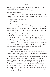from boyfriend material. The intensity of this man was multiplied exponentially by his apparent youth.

His voice broke into her thoughts. "You never answered my question. How old are you?"

His civil tone didn't mask his insistence, so she relented. "I'm twenty-six. What about you? Are you old enough to be driving at night?"

He grinned and looked at her.

Her heart leaped.

"Thirty."

Her mouth fell open. *Thirty?* "I thought maybe you were twentyone. At the most." She paused. The inconsistencies in him brought out the reporter in her. He didn't add up. A thought occurred to her—only one explanation made sense. "So now you're what? An undercover cop?"

Taking his eyes from the road for far too long at this speed, he stared at her, his expression hard. "No. Now I'm a drug dealer."

She grunted in disbelief. In spite of his harshness, the incongruities in him continued to puzzle her. "Why? What makes someone like you get into dealing?"

"Someone like me?" he said with a short laugh. "A poor *wop* who's a high school dropout and ain't got nowhere to go? Money, little white girl. It's the only way to get ahead in this world."

"I don't think you're a dropout. You don't talk like it."

His mouth settled into a thin line.

Undaunted, she pressed him further. "Aren't you afraid I'll turn you in? You're awfully open about it. What if I turned around and called the FBI or somebody?"

Tony jerked the steering wheel and ran the car onto the shoulder of the highway at seventy miles an hour. Pieces of gravel flew, popping under the metal frame, as the car screeched to a stop. He threw the gearshift into park and faced her. "You listen to me, *chica*. There's a whole world out there sweet little girls like you know nothing about. But it's real and it's dangerous, and it can get you killed. Don't *ever*  threaten a criminal, whether you intend to follow through with it or not. Life is meaningless in my world, and the people in it don't give a shit who lives or dies."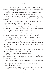During his outburst, his amber eyes turned cloudy. No hint of kindness softened his glare. Terror settled over her, an intense chill cascading through her skin.

Using her name for the first time, he said in a quiet voice, "Cassie, this isn't your world, and it isn't your problem. Stay out of it."

His soft tone emboldened her, and she knitted her brow. "Drugs are everybody's problem. Dealers—like *you*," she seethed, "make it that way."

The muscles in his jaw tensed. "Fine. Go home and vote wisely in the next election. Do your part to end it."

"You don't sound like a dealer. You sound like a cop."

He drew his hands into tight fists. The muscles in his neck strained until his veins bulged. "Goddammit, you're one persistent broad. You can't judge a book by its cover, babe."

A semi roared past, shaking the car.

She scanned his face. "I'm not. I'm reading the pages, and somewhere in you there's a chapter that says you're a good man."

Tony laughed and his features softened. "*Jesucristo*. What the hell are you, a goddamned writer?"

"I'm a reporter. I went to Journalism School at Missouri."

"God help me. It figures." He put the car in drive and pulled onto the road, muttering. "Fucking reporters. You think you can change the world."

"I can try."

He continued driving in silence. After a while, he said, "It wouldn't work, anyway. You'd have to call the DEA."

"What?" What the hell was he talking about?

"The FBI doesn't handle drug cases. If you wanted to report me, you'd have to call the DEA. If you're a reporter, you should learn your law enforcement agencies."

"You know an awful lot for an uneducated *wop*." The word fired from her mouth.

"I'm a pusher. It's in my interest to find out these things. I like to know who's coming after me."

She scowled at his glibness. "You're disgusting." The smile easing across his face sent a flush of tingling nerves through her.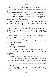TONY MADE THE remainder of the two-hour drive in silence until he reached the outskirts of Columbia and the girl started to give him directions to her apartment. When he pulled up front, she rested her hand on his arm. "Tony, listen, thanks for helping me out."

"Yeah, sure." He shifted his position on the steering wheel. The small misadventure was over. His stomach clenched. Her face would haunt him for a long time. He needed to get her out of his head. Pronto. "I gotta get back to St. Louis."

"Right. Thanks for the ride. I owe you one." Her light tone belied the somber expression in her gray eyes. She got out and walked to his window, starting to pull her arm out of the sweatshirt.

He reached out the window and grasped her hand. "Keep it." Moonlight glinted on her red hair, begging him to run his fingers through the tangled curls. He shook himself from his thoughts. "Look, *chica*. Promise me something. Knock it off with this hitchhikin' shit"

She let out a small laugh. "That's a pretty safe promise." She hesitated. "Be careful."

"I have to in this business."

Cassie started to back away, but his grip tightened. "So what's your last name, anyway?"

"Phillips."

"Cassie short for Cassandra?"

She nodded.

"Well, Cassandra Phillips, I'll keep an eye out for your byline."

Her gaze floated over his face, settling on his eyes. "What's your last name?"

"Scarlotti"

"You said you were a— Why do you speak Spanish?"

His face lightened with amusement. "I said I was a *wop*? I'm Sicilian. But ya gotta speak *spic* if you're gonna hang with the *spics*, *chica*."

She studied him. "You don't look Sicilian—or Italian, either. You look sort of Hispanic."

"Yeah? Well, there ain't no telling who my asshole father fucked." He shrugged. "And he kept my ma so drugged up, he coulda brought me in from the street and she woulda thought I was hers." He focused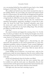#### Alexandra Christle

on a car passing behind her then pulled his gaze back to her, finally letting go of her hand. "Take care of yourself, *chica*."

She nodded and backed away then slowly mounted the steps to the building. Before she went inside, she turned and looked toward him for a long moment. He stayed while she disappeared through the door, watching until a light came on in an upstairs window. Drawing a long breath, he shifted the car into drive and made a U-turn.

During this stunt, no matter what he said, she continued her relentless interrogation, apparently unwilling to accept him at face value. He shook his head. Tony Scarlotti's education came from the streets and a quiet obsession with reading. Hundreds of idiots thought they could make an easy buck selling drugs. They all either got killed or hooked on the stuff.

### *Like Tom?*

He cursed violently and slapped the steering wheel. *No. Not like Tom. He did* not *get hooked on this shit.* Tearing his thoughts away from his brother, he dragged himself to the present. No, his plans required some finesse if he wanted to reach his goals.

*Are you sure? Are you sure this is the way?*

He gritted his teeth, whipped past a slow-moving car, and refocused. His reputation on the streets painted him as a man who eliminated problems without hesitation. Cassie seemed frightened by him, and it was for the best. He played his role and did it well because this was more than a job to him. Still, his intent did not include hurting innocent people.

Cassie Phillips was an innocent—in several ways—and yet, her guilelessness made her more dangerous than the most ruthless drug lord. Something about her had stirred deep desires he'd buried seven years ago.

Needs he'd abandoned when his brother was killed.

A part of him had died the day that news reached him, and he wouldn't rest until the truth came out. Meanwhile, this job that consumed him and the ghosts that haunted him had turned him into a dangerous man, one who had no illusions about himself.

And right now, that man had a meeting to get to.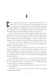## 4

assie trudged to the elevator and pushed the button for the fourth floor. As the lift ascended, she leaned against the woodtone paneling and closed her eyes. This experience had gone far beyond draining. An emptiness perme assie trudged to the elevator and pushed the button for the fourth floor. As the lift ascended, she leaned against the woodtone paneling and closed her eyes. This experience had gone In her pursuit of a prize-winning story, she'd come away with more than she'd expected, and nothing she could ever write about.

The elevator doors parted, and she plodded down the hall, the tightness in her chest closing as her temples throbbed. Writing any kind of story about Tony would require more time with him. Aside from smoking a few joints and popping a couple of white crosses during exams in college, the drug world was completely alien to her.

Her hand shook as she stuck her key in her door lock. *Is it the story you're after, or just Tony?* Her face burned. She shoved into her apartment and slammed the door.

She needed a shower. Cold. But she only got as far as the sofa before her legs gave out and she fell onto it, unable to move. No rational thoughts. Just a vacuum remained where her soul used to be. A hypnotic doze had almost overtaken her when a noise brought her to consciousness…someone at the door. She bolted upright, her heart in her throat.

The doorknob started to turn. A scream rose, but before any sounds could form in her throat, her roommate appeared in the doorway. "Jackie! What are you doing here?" The fading adrenaline rush made her heart hammer against her ribs.

Her roommate tossed her keys and bag on a table by the door. "Um, I live here?"

"Yeah, but…I thought you were out of town." Her voice caught, strained and breathless.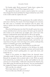#### Alexandra Christle

"It's Sunday night. Work tomorrow?" Jackie threw a glance her way then stopped. "Cassie! What happened to you?"

She opened her mouth to answer, stared at Jackie for a second, then dropped her head and linked her fingers behind her neck. How in the world could she explain this one?

TONY CRANKED UP the speedometer. He couldn't afford to arrive late to this buy. Too much of his future hinged on its outcome. His little jaunt to Columbia had interfered with his plans—his desire to spend a few more minutes with Cassie had put him behind schedule.

What the hell had gotten into him? He should've given her some money and driven her to the bus station. He had to get his mind off that woman or he would screw up tonight, and a screw-up in this business could land him dead. Dead did not fall on his agenda.

With the thirty grand tucked in his suitcase, if his luck held, a kilo of cocaine would be in his hands tonight. Cut, it would sell on the streets for nearly a hundred thousand bucks, and he'd be one step closer to his goal. A few more big scores, and he could quit this, return to Columbia, get Cassie, and disappear.

*Jesucristo, asshole. What kind of dream world have you fallen into?*

With effort, he turned his attention to his driving as he made his way to East St. Louis. He exited the interstate and wound slowly to the riverfront, found a parking place on a quiet side street, and locked the car.

Hands in his pockets, he slipped down the deserted street. Adrenaline made his heart race, and he paused to calm his nerves. Beneath his arrogance hid an animal ready to bolt. With one quick look behind him, he ducked into an alley and huddled in the rear entryway of a closed office. A silhouette came from the shadows, but Tony didn't jump. He slid from the doorway. "Got my merchandise?" He wrapped his fingers around the grip of the .44 in his pocket.

"Kilo, just like you ordered."

"How many times can I step on it?"

"Cut it in half, man. Double your money."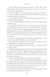Tony shoved the man against the bricks. "This is shit. I can't make a living off this crap. I gotta be able to step on it twice or I don't make enough profit."

The man sniffled. "Try it, man. I'll give you a line. I'm tellin' ya, you can cut it. Maybe one and half times, and it'll still be ten percent pure. Plenty high for street sales."

Heat flushed through his body. This had wasted his time, and that didn't make him happy.

The man hunched and averted his eyes. He ran a grimy finger under his nose.

Tony grabbed him by the front of his shirt and pulled him up. "You stupid fuck. You stole part of this stash and cut it yourself, didn't you?" He shoved him again and pulled out his gun. The man whimpered when Tony pressed the barrel to his neck. "Listen to me, fuckface. I got the cash for a real buy. This worthless crap ain't gonna do me any good. I'm tired of screwing with you. Take me to meet your source."

The man cringed, and his voice fell to a raspy whisper. "You think I'm nuts, man? He'll kill me. I ain't squealin'."

"Yeah? How about I blast a hole in your head, asshole? You won't be squealing then." He pressed the gun deeper.

The man squeezed his eyes shut. "No, man…don't shoot me! I'll get him, I swear!"

Disgusted, Tony released him. The man sniveled, shifting on his feet. Tony reached into the addict's pocket and yanked out a .22. "Worthless piece of shit gun. What are you going to do with this toy, asshole? You couldn't kill a fuckin' cockroach with this." He stuffed the pistol in a pocket.

The man started blubbering. "Shit, man. Don't kill me."

Tony held his shirt at the neck and pushed him against the wall. "It's Aguiar. I know it's Aguiar. You find the prick and tell him Tony Scarlotti's lookin' for him. I want a serious buy, and I want it quick." He raised his .44 and fired into the doorframe by the man's ear. The blast resounded in his head, making his ears ring.

The pusher screamed and covered his ear with his hand. "Shit! You crazy bastard! I can't hear nothin'!"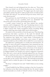Tony leaned over and whispered into his other ear. "Next time, I'll blow your fuckin' ear off. Don't double-cross me. I don't like it. Get in touch with me tomorrow." He ripped open the man's jacket and pulled a plastic bag full of white powder from an inside pocket. "I'm takin' this with me. You tell him he'll get his money when I get some decent goods."

"You gotta pay me, man! He'll kill me if he don't get his money!"

"Then I guess you got a problem, don't you, dumbshit?" He shoved his gun in his pocket and hustled down the alley.

A police cruiser coasted by, and Tony ducked into another doorway until it disappeared. The cops' broadening interest in this district was largely due to him. His drug dealings were no secret, but it didn't concern him. Name recognition meant everything. Being another nickel-bag street dealer didn't mesh with his plans.

He made it to his car and drove from the quiet area. That sleazebag go-between had taken a portion of the stash for himself and powdered down the rest, claiming it could still be cut. It confirmed his suspicions that Aguiar was a major dealer. Unfortunately, his information would probably come from a new contact. If Aguiar's reputation held true, this worthless shit wouldn't live to see tomorrow.

He pulled into a parking place at a nearby bar and locked the .22 and bag of coke in the glove compartment, then sauntered into the dingy lounge and shed his jacket in the overheated room. A cloud of smoke hung in the air, creating a murky veil in front of the television screen. A flickering image of Johnny Carson filled the small TV, as he feigned surprise over another sexy actress's suggestive comments. Tony slid onto a stool, and the bartender glanced his way. He gave the man a small nod, and a shot of tequila appeared in front of him.

He threw the burning liquor into his mouth and swallowed then set the glass on the counter with a thunk. The bartender poured him another, and he twirled the glass in his fingers, watching the liquid spin.

"Hi, Tony," a whispered voice said. "I didn't think you was coming tonight."

A hand fondled his leg. Without turning to face her, he gazed at her reflection in the filmy mirror behind the bar. He raised a finger, and the bartender set a bottle of Falstaff in front of her. She picked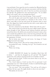it up and drank. Tony spun his stool to examine her. Bleached hair lay against her head in stiff curls that past encounters told him felt like straw. Deep red lipstick the color of her low-cut dress accentuated her full lips. He grabbed her arm and leaned close. "If you didn't think I was comin', why you wearing that dress?"

She wrenched her arm from his grasp. "Fuck yourself."

He took his glass and tossed the tequila down his throat then scanned the room and settled on a brunette in the corner. As he threw some bills on the bar and stood, the brunette came to meet him. She slipped her hand around his arm with a scant smile at the woman in the red dress.

He shot a final look at the blonde. "Don't fuck with me, *puta*."

She cursed at him as he left the bar, but it didn't matter what the whore thought of him. Women loved Anthony Scarlotti, and never turned him down. He slid his arm around the brunette's waist as they went outside then pulled her close to kiss her long and hard. His only care now was whether to take her in the car or wait until they reached her apartment. Or both.

But he broke away from her and swore. An image of Cassie Phillips hovered in his mind.

"What's wrong, Tony?" She ran her tongue along his ear.

He pushed her away. "Nothing. Let's go." He scowled as he led her to his car.

Plenty was wrong.

CASSIE SIGHED SO deeply her shoulders lifted then fell in defeat. "…and then he dropped me off and left." She flopped against the sofa cushion, burying herself in its familiar comfort.

Jackie shook her head. "I don't even know what to say. Are you going to write a story?"

"No. I don't think so. I don't see how. It's too personal. I can't substantiate any of it." She hesitated. "Unless I could find him again. I kind of know where the motel was."

"Are you crazy?" Her tone peaked. "You can't go off trying to find him. He has a gun. He might decide to shoot you next time."

"But Jackie, he was nice."